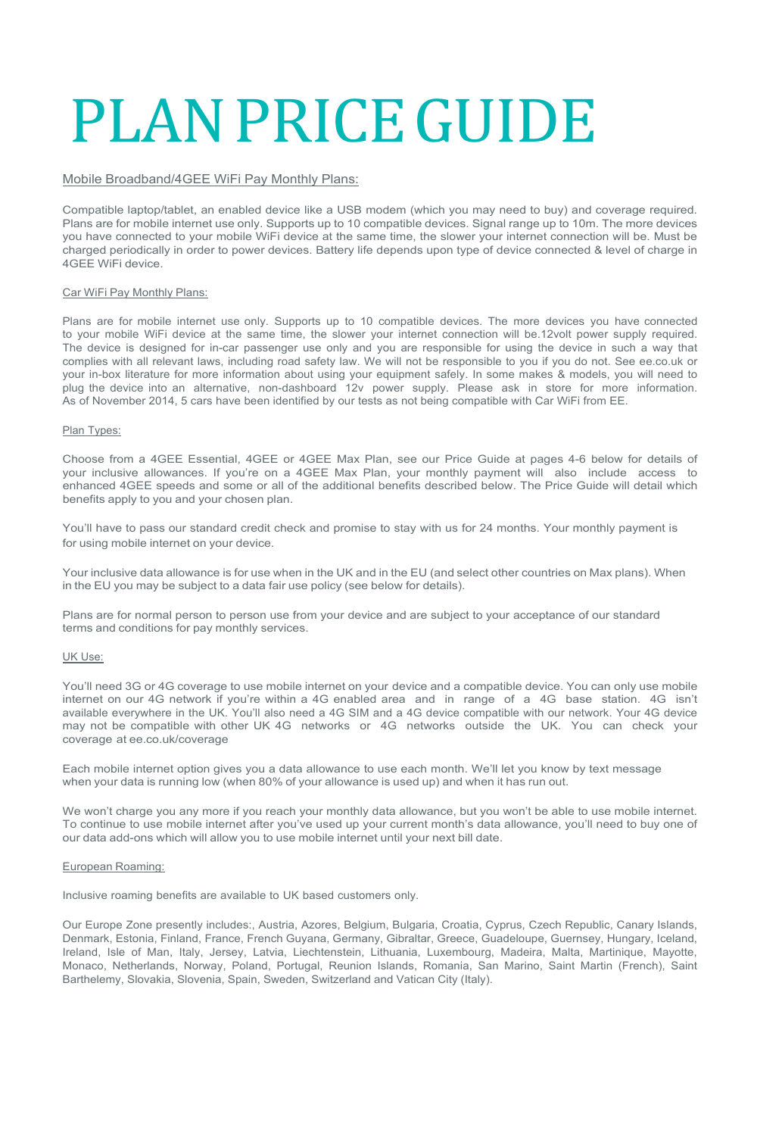# PLANPRICEGUIDE

### Mobile Broadband/4GEE WiFi Pay Monthly Plans:

Compatible laptop/tablet, an enabled device like a USB modem (which you may need to buy) and coverage required. Plans are for mobile internet use only. Supports up to 10 compatible devices. Signal range up to 10m. The more devices you have connected to your mobile WiFi device at the same time, the slower your internet connection will be. Must be charged periodically in order to power devices. Battery life depends upon type of device connected & level of charge in 4GEE WiFi device.

### Car WiFi Pay Monthly Plans:

Plans are for mobile internet use only. Supports up to 10 compatible devices. The more devices you have connected to your mobile WiFi device at the same time, the slower your internet connection will be.12volt power supply required. The device is designed for in-car passenger use only and you are responsible for using the device in such a way that complies with all relevant laws, including road safety law. We will not be responsible to you if you do not. See ee.co.uk or your in-box literature for more information about using your equipment safely. In some makes & models, you will need to plug the device into an alternative, non-dashboard 12v power supply. Please ask in store for more information. As of November 2014, 5 cars have been identified by our tests as not being compatible with Car WiFi from EE.

### Plan Types:

Choose from a 4GEE Essential, 4GEE or 4GEE Max Plan, see our Price Guide at pages 4-6 below for details of your inclusive allowances. If you're on a 4GEE Max Plan, your monthly payment will also include access to enhanced 4GEE speeds and some or all of the additional benefits described below. The Price Guide will detail which benefits apply to you and your chosen plan.

You'll have to pass our standard credit check and promise to stay with us for 24 months. Your monthly payment is for using mobile internet on your device.

Your inclusive data allowance is for use when in the UK and in the EU (and select other countries on Max plans). When in the EU you may be subject to a data fair use policy (see below for details).

Plans are for normal person to person use from your device and are subject to your acceptance of our standard terms and conditions for pay monthly services.

### UK Use:

You'll need 3G or 4G coverage to use mobile internet on your device and a compatible device. You can only use mobile internet on our 4G network if you're within a 4G enabled area and in range of a 4G base station. 4G isn't available everywhere in the UK. You'll also need a 4G SIM and a 4G device compatible with our network. Your 4G device may not be compatible with other UK 4G networks or 4G networks outside the UK. You can check your coverage at ee.co.uk/coverage

Each mobile internet option gives you a data allowance to use each month. We'll let you know by text message when your data is running low (when 80% of your allowance is used up) and when it has run out.

We won't charge you any more if you reach your monthly data allowance, but you won't be able to use mobile internet. To continue to use mobile internet after you've used up your current month's data allowance, you'll need to buy one of our data add-ons which will allow you to use mobile internet until your next bill date.

### European Roaming:

Inclusive roaming benefits are available to UK based customers only.

Our Europe Zone presently includes:, Austria, Azores, Belgium, Bulgaria, Croatia, Cyprus, Czech Republic, Canary Islands, Denmark, Estonia, Finland, France, French Guyana, Germany, Gibraltar, Greece, Guadeloupe, Guernsey, Hungary, Iceland, Ireland, Isle of Man, Italy, Jersey, Latvia, Liechtenstein, Lithuania, Luxembourg, Madeira, Malta, Martinique, Mayotte, Monaco, Netherlands, Norway, Poland, Portugal, Reunion Islands, Romania, San Marino, Saint Martin (French), Saint Barthelemy, Slovakia, Slovenia, Spain, Sweden, Switzerland and Vatican City (Italy).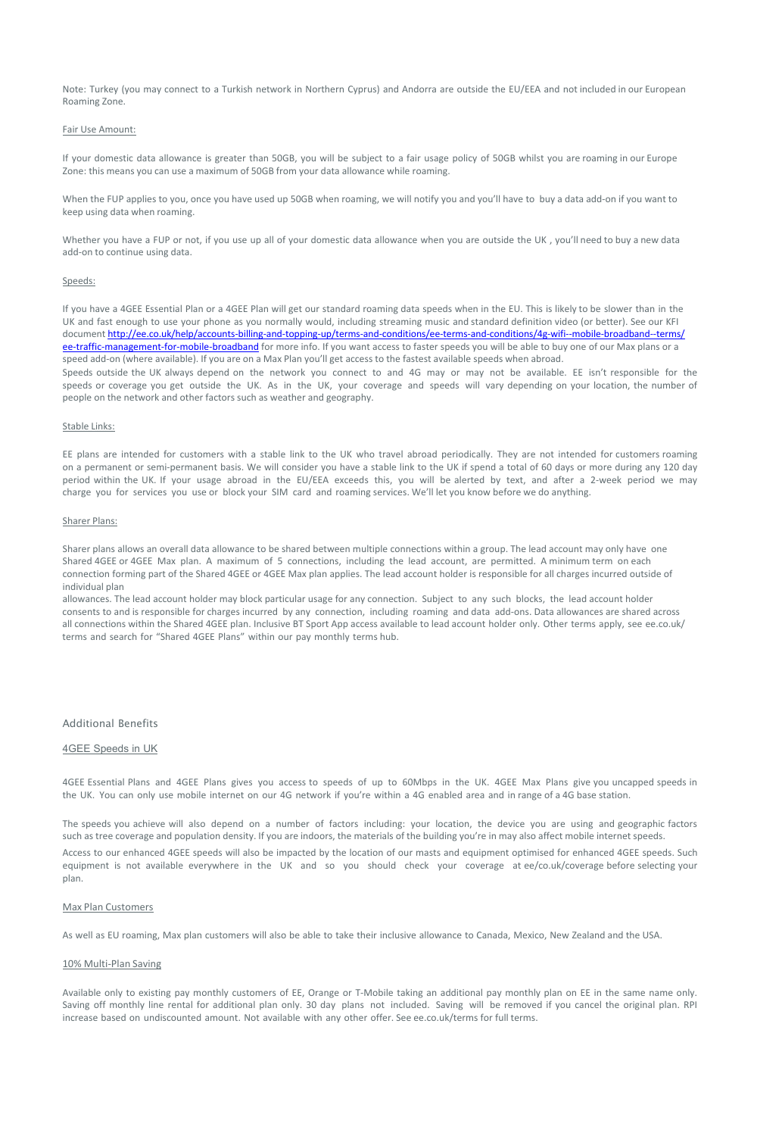Note: Turkey (you may connect to a Turkish network in Northern Cyprus) and Andorra are outside the EU/EEA and not included in our European Roaming Zone.

### Fair Use Amount:

If your domestic data allowance is greater than 50GB, you will be subject to a fair usage policy of 50GB whilst you are roaming in our Europe Zone: this means you can use a maximum of 50GB from your data allowance while roaming.

When the FUP applies to you, once you have used up 50GB when roaming, we will notify you and you'll have to buy a data add-on if you want to keep using data when roaming.

Whether you have a FUP or not, if you use up all of your domestic data allowance when you are outside the UK, you'll need to buy a new data add-on to continue using data.

### Speeds:

If you have a 4GEE Essential Plan or a 4GEE Plan will get our standard roaming data speeds when in the EU. This is likely to be slower than in the UK and fast enough to use your phone as you normally would, including streaming music and standard definition video (or better). See our KFI documen[t http://ee.co.uk/help/accounts-billing-and-topping-up/terms-](http://ee.co.uk/help/accounts-billing-and-topping-up/terms-)[and-conditions/ee-terms-and-conditions/4g-wifi--mobile-broadband--terms/](http://ee.co.uk/help/accounts-billing-and-topping-up/terms-and-conditions/ee-terms-and-conditions/4g-wifi--mobile-broadband--terms/ee-traffic-management-for-mobile-broadband) ee-traffic-management-for-mobile-broadband for more info. If you want access to faster speeds you will be able to buy one of our Max plans or a speed add-on (where available). If you are on a Max Plan you'll get access to the fastest available speeds when abroad. Speeds outside the UK always depend on the network you connect to and 4G may or may not be available. EE isn't responsible for the speeds or coverage you get outside the UK. As in the UK, your coverage and speeds will vary depending on your location, the number of people on the network and other factors such as weather and geography.

### Stable Links:

EE plans are intended for customers with a stable link to the UK who travel abroad periodically. They are not intended for customers roaming on a permanent or semi-permanent basis. We will consider you have a stable link to the UK if spend a total of 60 days or more during any 120 day period within the UK. If your usage abroad in the EU/EEA exceeds this, you will be alerted by text, and after a 2-week period we may charge you for services you use or block your SIM card and roaming services. We'll let you know before we do anything.

### Sharer Plans:

Sharer plans allows an overall data allowance to be shared between multiple connections within a group. The lead account may only have one Shared 4GEE or 4GEE Max plan. A maximum of 5 connections, including the lead account, are permitted. A minimum term on each connection forming part of the Shared 4GEE or 4GEE Max plan applies. The lead account holder is responsible for all charges incurred outside of individual plan

allowances. The lead account holder may block particular usage for any connection. Subject to any such blocks, the lead account holder consents to and is responsible for charges incurred by any connection, including roaming and data add-ons. Data allowances are shared across all connections within the Shared 4GEE plan. Inclusive BT Sport App access available to lead account holder only. Other terms apply, see ee.co.uk/ terms and search for "Shared 4GEE Plans" within our pay monthly terms hub.

### Additional Benefits

### 4GEE Speeds in UK

4GEE Essential Plans and 4GEE Plans gives you access to speeds of up to 60Mbps in the UK. 4GEE Max Plans give you uncapped speeds in the UK. You can only use mobile internet on our 4G network if you're within a 4G enabled area and in range of a 4G base station.

The speeds you achieve will also depend on a number of factors including: your location, the device you are using and geographic factors such as tree coverage and population density. If you are indoors, the materials of the building you're in may also affect mobile internet speeds. Access to our enhanced 4GEE speeds will also be impacted by the location of our masts and equipment optimised for enhanced 4GEE speeds. Such equipment is not available everywhere in the UK and so you should check your coverage at ee/co.uk/coverage before selecting your plan.

### Max Plan Customers

As well as EU roaming, Max plan customers will also be able to take their inclusive allowance to Canada, Mexico, New Zealand and the USA.

### 10% Multi-Plan Saving

Available only to existing pay monthly customers of EE, Orange or T-Mobile taking an additional pay monthly plan on EE in the same name only. Saving off monthly line rental for additional plan only. 30 day plans not included. Saving will be removed if you cancel the original plan. RPI increase based on undiscounted amount. Not available with any other offer. See ee.co.uk/terms for full terms.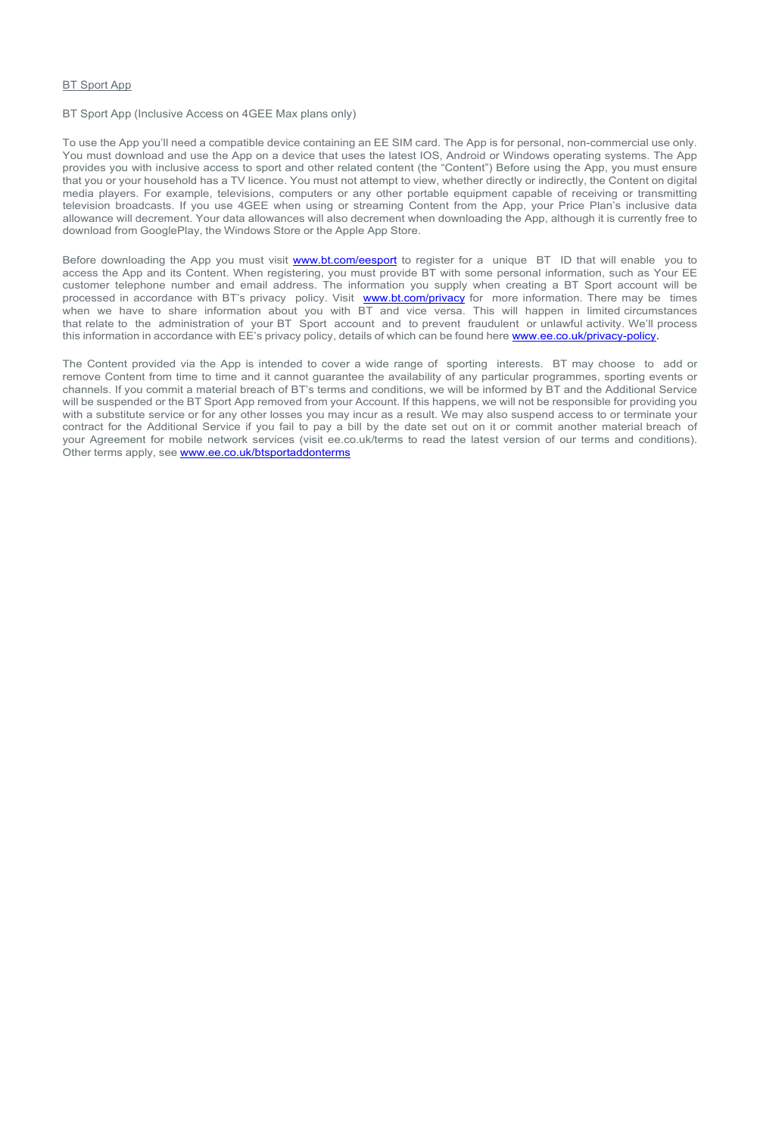### BT Sport App

BT Sport App (Inclusive Access on 4GEE Max plans only)

To use the App you'll need a compatible device containing an EE SIM card. The App is for personal, non-commercial use only. You must download and use the App on a device that uses the latest IOS, Android or Windows operating systems. The App provides you with inclusive access to sport and other related content (the "Content") Before using the App, you must ensure that you or your household has a TV licence. You must not attempt to view, whether directly or indirectly, the Content on digital media players. For example, televisions, computers or any other portable equipment capable of receiving or transmitting television broadcasts. If you use 4GEE when using or streaming Content from the App, your Price Plan's inclusive data allowance will decrement. Your data allowances will also decrement when downloading the App, although it is currently free to download from GooglePlay, the Windows Store or the Apple App Store.

Before downloading the App you must visit [www.bt.com/eesport](http://www.bt.com/eesport) to register for a unique BT ID that will enable you to access the App and its Content. When registering, you must provide BT with some personal information, such as Your EE customer telephone number and email address. The information you supply when creating a BT Sport account will be processed in accordance with BT's privacy policy. Visit [www.bt.com/privacy](http://www.bt.com/privacy) for more information. There may be times when we have to share information about you with BT and vice versa. This will happen in limited circumstances that relate to the administration of your BT Sport account and to prevent fraudulent or unlawful activity. We'll process this information in accordance with EE's privacy policy, details of which can be found here [www.ee.co.uk/privacy-policy.](http://www.ee.co.uk/privacy-policy)

The Content provided via the App is intended to cover a wide range of sporting interests. BT may choose to add or remove Content from time to time and it cannot guarantee the availability of any particular programmes, sporting events or channels. If you commit a material breach of BT's terms and conditions, we will be informed by BT and the Additional Service will be suspended or the BT Sport App removed from your Account. If this happens, we will not be responsible for providing you with a substitute service or for any other losses you may incur as a result. We may also suspend access to or terminate your contract for the Additional Service if you fail to pay a bill by the date set out on it or commit another material breach of your Agreement for mobile network services (visit ee.co.uk/terms to read the latest version of our terms and conditions). Other terms apply, see [www.ee.co.uk/btsportaddonterms](http://www.ee.co.uk/btsportaddonterms)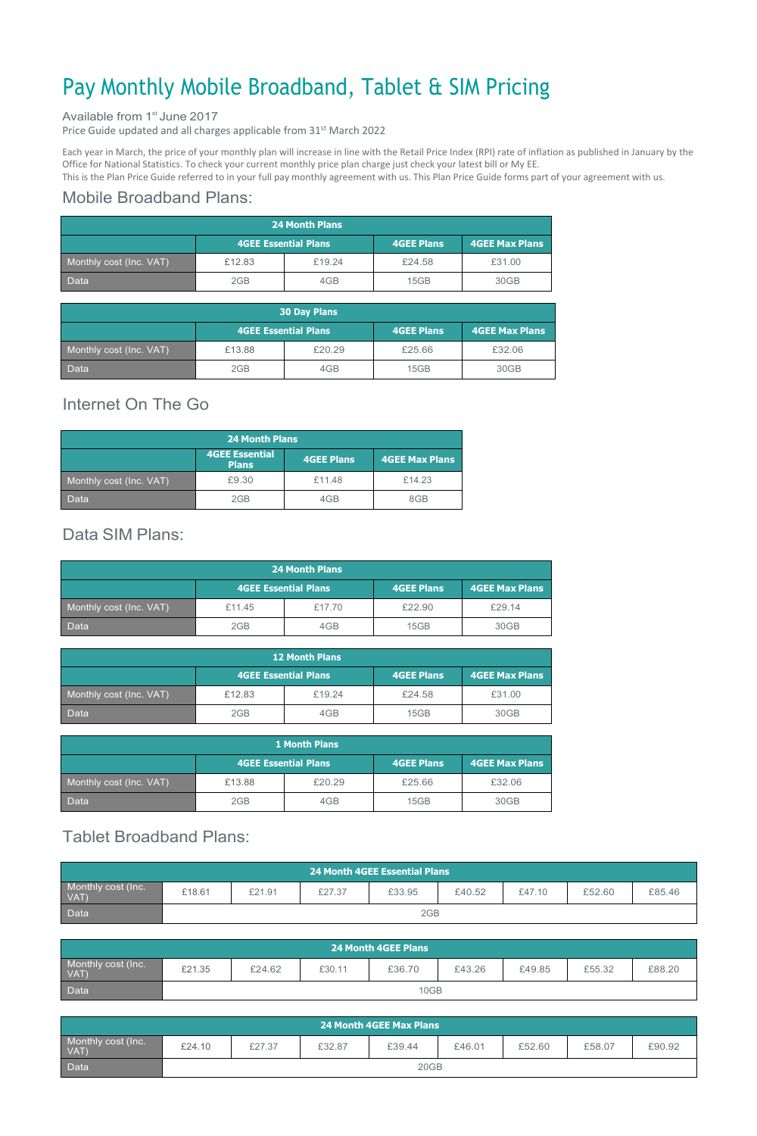# Pay Monthly Mobile Broadband, Tablet & SIM Pricing

### Available from 1<sup>st</sup> June 2017

Price Guide updated and all charges applicable from 31<sup>st</sup> March 2022

Each year in March, the price of your monthly plan will increase in line with the Retail Price Index (RPI) rate of inflation as published in January by the Office for National Statistics. To check your current monthly price plan charge just check your latest bill or My EE.

This is the Plan Price Guide referred to in your full pay monthly agreement with us. This Plan Price Guide forms part of your agreement with us.

## Mobile Broadband Plans:

| <b>24 Month Plans</b>   |                             |        |                   |                       |  |
|-------------------------|-----------------------------|--------|-------------------|-----------------------|--|
|                         | <b>4GEE Essential Plans</b> |        | <b>4GEE Plans</b> | <b>4GEE Max Plans</b> |  |
| Monthly cost (Inc. VAT) | £12.83                      | £19.24 | £24.58            | £31.00                |  |
| <b>Data</b>             | 2GB                         | 4GB    | 15GB              | 30GB                  |  |

| <b>30 Day Plans</b>     |                             |        |                   |                |  |  |
|-------------------------|-----------------------------|--------|-------------------|----------------|--|--|
|                         | <b>4GEE Essential Plans</b> |        | <b>4GEE Plans</b> | 4GEE Max Plans |  |  |
| Monthly cost (Inc. VAT) | £13.88                      | £20.29 | £25.66            | £32.06         |  |  |
| <b>Data</b>             | 2GB                         | 4GB    | 15GB              | 30GB           |  |  |

# Internet On The Go

| <b>24 Month Plans</b>   |                                       |                   |                |  |
|-------------------------|---------------------------------------|-------------------|----------------|--|
|                         | <b>4GEE Essential</b><br><b>Plans</b> | <b>4GEE Plans</b> | 4GEE Max Plans |  |
| Monthly cost (Inc. VAT) | £9.30                                 | £11.48            | £14.23         |  |
| Data                    | 2GB                                   | 4GB               | 8GB            |  |

# Data SIM Plans:

| <b>24 Month Plans</b>   |                             |        |            |                       |  |  |
|-------------------------|-----------------------------|--------|------------|-----------------------|--|--|
|                         | <b>4GEE Essential Plans</b> |        | 4GEE Plans | <b>4GEE Max Plans</b> |  |  |
| Monthly cost (Inc. VAT) | £11.45                      | £17.70 | £22.90     | £29.14                |  |  |
| <b>Data</b>             | 2GB                         | 4GB    | 15GB       | 30GB                  |  |  |

| <b>12 Month Plans</b>   |                             |        |                   |                |  |
|-------------------------|-----------------------------|--------|-------------------|----------------|--|
|                         | <b>4GEE Essential Plans</b> |        | <b>4GEE Plans</b> | 4GEE Max Plans |  |
| Monthly cost (Inc. VAT) | £12.83                      | £19.24 | £24.58            | £31.00         |  |
| Data                    | 2GB                         | 4GB    | 15GB              | 30GB           |  |

| <b>1 Month Plans</b>    |                             |        |                   |                |  |  |
|-------------------------|-----------------------------|--------|-------------------|----------------|--|--|
|                         | <b>4GEE Essential Plans</b> |        | <b>4GEE Plans</b> | 4GEE Max Plans |  |  |
| Monthly cost (Inc. VAT) | £13.88                      | £20.29 | £25.66            | £32.06         |  |  |
| <b>Data</b>             | 2GB                         | 4GB    | 15GB              | 30GB           |  |  |

# Tablet Broadband Plans:

| $\lambda$ 24 Month 4GEE Essential Plans $\lambda$ |        |        |        |        |        |        |        |        |
|---------------------------------------------------|--------|--------|--------|--------|--------|--------|--------|--------|
| Monthly cost (Inc.<br>VAT)                        | £18.61 | £21.91 | £27.37 | £33.95 | £40.52 | £47.10 | £52.60 | £85.46 |
| <b>Data</b>                                       |        |        |        | 2GB    |        |        |        |        |

| <b>24 Month 4GEE Plans</b> |        |        |        |        |        |        |        |        |
|----------------------------|--------|--------|--------|--------|--------|--------|--------|--------|
| Monthly cost (Inc.<br>VAT  | £21.35 | £24.62 | £30.11 | £36.70 | £43.26 | £49.85 | £55.32 | £88.20 |
| Data                       |        |        |        | 10GB   |        |        |        |        |

| l 24 Month 4GEE Max Plans <sup>1</sup> |        |        |        |        |        |        |        |        |
|----------------------------------------|--------|--------|--------|--------|--------|--------|--------|--------|
| Monthly cost (Inc.<br>VAT)             | £24.10 | £27.37 | £32.87 | £39.44 | £46.01 | £52.60 | £58.07 | £90.92 |
| Data                                   |        |        |        | 20GB   |        |        |        |        |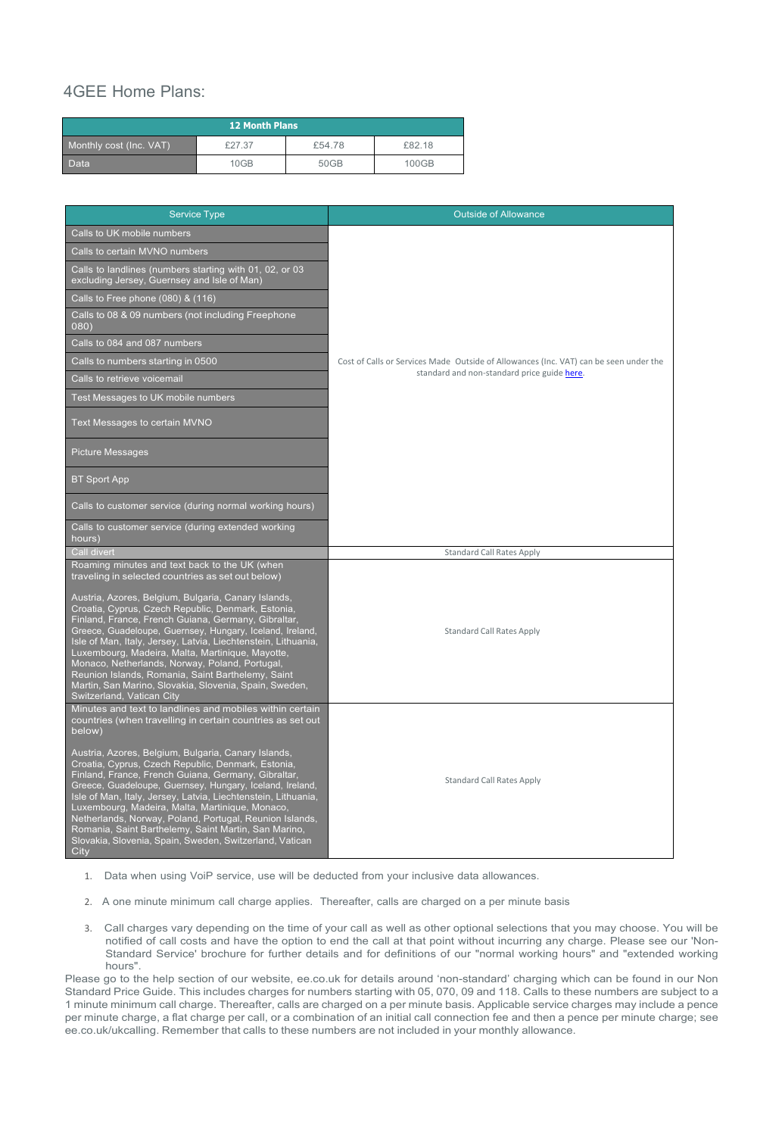# 4GEE Home Plans:

| <b>12 Month Plans</b>   |        |        |        |
|-------------------------|--------|--------|--------|
| Monthly cost (Inc. VAT) | £27.37 | £54.78 | £82.18 |
| <b>Data</b>             | 10GB   | 50GB   | 100GB  |

| <b>Service Type</b>                                                                                                                                                                                                                                                                                                                                                                                                                                                                                                                             | <b>Outside of Allowance</b>                                                           |
|-------------------------------------------------------------------------------------------------------------------------------------------------------------------------------------------------------------------------------------------------------------------------------------------------------------------------------------------------------------------------------------------------------------------------------------------------------------------------------------------------------------------------------------------------|---------------------------------------------------------------------------------------|
| Calls to UK mobile numbers                                                                                                                                                                                                                                                                                                                                                                                                                                                                                                                      |                                                                                       |
| Calls to certain MVNO numbers                                                                                                                                                                                                                                                                                                                                                                                                                                                                                                                   |                                                                                       |
| Calls to landlines (numbers starting with 01, 02, or 03<br>excluding Jersey, Guernsey and Isle of Man)                                                                                                                                                                                                                                                                                                                                                                                                                                          |                                                                                       |
| Calls to Free phone (080) $\&$ (116)                                                                                                                                                                                                                                                                                                                                                                                                                                                                                                            |                                                                                       |
| Calls to 08 & 09 numbers (not including Freephone<br>080)                                                                                                                                                                                                                                                                                                                                                                                                                                                                                       |                                                                                       |
| Calls to 084 and 087 numbers                                                                                                                                                                                                                                                                                                                                                                                                                                                                                                                    |                                                                                       |
| Calls to numbers starting in 0500                                                                                                                                                                                                                                                                                                                                                                                                                                                                                                               | Cost of Calls or Services Made Outside of Allowances (Inc. VAT) can be seen under the |
| Calls to retrieve voicemail                                                                                                                                                                                                                                                                                                                                                                                                                                                                                                                     | standard and non-standard price guide here.                                           |
| Test Messages to UK mobile numbers                                                                                                                                                                                                                                                                                                                                                                                                                                                                                                              |                                                                                       |
| Text Messages to certain MVNO                                                                                                                                                                                                                                                                                                                                                                                                                                                                                                                   |                                                                                       |
| <b>Picture Messages</b>                                                                                                                                                                                                                                                                                                                                                                                                                                                                                                                         |                                                                                       |
| <b>BT Sport App</b>                                                                                                                                                                                                                                                                                                                                                                                                                                                                                                                             |                                                                                       |
| Calls to customer service (during normal working hours)                                                                                                                                                                                                                                                                                                                                                                                                                                                                                         |                                                                                       |
| Calls to customer service (during extended working<br>hours)                                                                                                                                                                                                                                                                                                                                                                                                                                                                                    |                                                                                       |
| <b>Call divert</b>                                                                                                                                                                                                                                                                                                                                                                                                                                                                                                                              | <b>Standard Call Rates Apply</b>                                                      |
| Roaming minutes and text back to the UK (when<br>traveling in selected countries as set out below)                                                                                                                                                                                                                                                                                                                                                                                                                                              |                                                                                       |
| Austria, Azores, Belgium, Bulgaria, Canary Islands,<br>Croatia, Cyprus, Czech Republic, Denmark, Estonia,<br>Finland, France, French Guiana, Germany, Gibraltar,<br>Greece, Guadeloupe, Guernsey, Hungary, Iceland, Ireland,<br>Isle of Man, Italy, Jersey, Latvia, Liechtenstein, Lithuania,<br>Luxembourg, Madeira, Malta, Martinique, Mayotte,<br>Monaco, Netherlands, Norway, Poland, Portugal,<br>Reunion Islands, Romania, Saint Barthelemy, Saint<br>Martin, San Marino, Slovakia, Slovenia, Spain, Sweden,<br>Switzerland, Vatican City | <b>Standard Call Rates Apply</b>                                                      |
| Minutes and text to landlines and mobiles within certain<br>countries (when travelling in certain countries as set out<br>below)                                                                                                                                                                                                                                                                                                                                                                                                                |                                                                                       |
| Austria, Azores, Belgium, Bulgaria, Canary Islands,<br>Croatia, Cyprus, Czech Republic, Denmark, Estonia,<br>Finland, France, French Guiana, Germany, Gibraltar,<br>Greece, Guadeloupe, Guernsey, Hungary, Iceland, Ireland,<br>Isle of Man, Italy, Jersey, Latvia, Liechtenstein, Lithuania,<br>Luxembourg, Madeira, Malta, Martinique, Monaco,<br>Netherlands, Norway, Poland, Portugal, Reunion Islands,<br>Romania, Saint Barthelemy, Saint Martin, San Marino,<br>Slovakia, Slovenia, Spain, Sweden, Switzerland, Vatican<br>City          | <b>Standard Call Rates Apply</b>                                                      |

- 1. Data when using VoiP service, use will be deducted from your inclusive data allowances.
- 2. A one minute minimum call charge applies. Thereafter, calls are charged on a per minute basis
- 3. Call charges vary depending on the time of your call as well as other optional selections that you may choose. You will be notified of call costs and have the option to end the call at that point without incurring any charge. Please see our 'Non-Standard Service' brochure for further details and for definitions of our "normal working hours" and "extended working hours".

Please go to the help section of our website, ee.co.uk for details around 'non-standard' charging which can be found in our Non Standard Price Guide. This includes charges for numbers starting with 05, 070, 09 and 118. Calls to these numbers are subject to a 1 minute minimum call charge. Thereafter, calls are charged on a per minute basis. Applicable service charges may include a pence per minute charge, a flat charge per call, or a combination of an initial call connection fee and then a pence per minute charge; see ee.co.uk/ukcalling. Remember that calls to these numbers are not included in your monthly allowance.